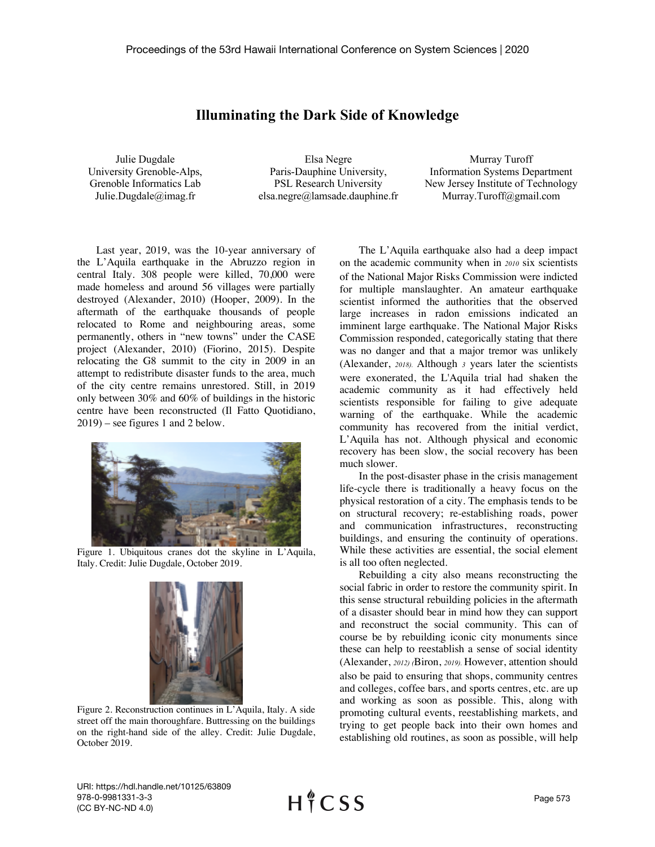## **Illuminating the Dark Side of Knowledge**

Julie Dugdale University Grenoble-Alps, Grenoble Informatics Lab Julie.Dugdale@imag.fr

Elsa Negre Paris-Dauphine University, PSL Research University elsa.negre@lamsade.dauphine.fr

Murray Turoff Information Systems Department New Jersey Institute of Technology Murray.Turoff@gmail.com

Last year, 2019, was the 10-year anniversary of the L'Aquila earthquake in the Abruzzo region in central Italy. 308 people were killed, 70,000 were made homeless and around 56 villages were partially destroyed (Alexander, 2010) (Hooper, 2009). In the aftermath of the earthquake thousands of people relocated to Rome and neighbouring areas, some permanently, others in "new towns" under the CASE project (Alexander, 2010) (Fiorino, 2015). Despite relocating the G8 summit to the city in 2009 in an attempt to redistribute disaster funds to the area, much of the city centre remains unrestored. Still, in 2019 only between 30% and 60% of buildings in the historic centre have been reconstructed (Il Fatto Quotidiano, 2019) – see figures 1 and 2 below.



Figure 1. Ubiquitous cranes dot the skyline in L'Aquila, Italy. Credit: Julie Dugdale, October 2019.



Figure 2. Reconstruction continues in L'Aquila, Italy. A side street off the main thoroughfare. Buttressing on the buildings on the right-hand side of the alley. Credit: Julie Dugdale, October 2019.

The L'Aquila earthquake also had a deep impact on the academic community when in *2010* six scientists of the National Major Risks Commission were indicted for multiple manslaughter. An amateur earthquake scientist informed the authorities that the observed large increases in radon emissions indicated an imminent large earthquake. The National Major Risks Commission responded, categorically stating that there was no danger and that a major tremor was unlikely (Alexander, *2018).* Although *3* years later the scientists were exonerated, the L'Aquila trial had shaken the academic community as it had effectively held scientists responsible for failing to give adequate warning of the earthquake. While the academic community has recovered from the initial verdict, L'Aquila has not. Although physical and economic recovery has been slow, the social recovery has been much slower.

In the post-disaster phase in the crisis management life-cycle there is traditionally a heavy focus on the physical restoration of a city. The emphasis tends to be on structural recovery; re-establishing roads, power and communication infrastructures, reconstructing buildings, and ensuring the continuity of operations. While these activities are essential, the social element is all too often neglected.

Rebuilding a city also means reconstructing the social fabric in order to restore the community spirit. In this sense structural rebuilding policies in the aftermath of a disaster should bear in mind how they can support and reconstruct the social community. This can of course be by rebuilding iconic city monuments since these can help to reestablish a sense of social identity (Alexander, *2012) (*Biron, *2019).* However, attention should also be paid to ensuring that shops, community centres and colleges, coffee bars, and sports centres, etc. are up and working as soon as possible. This, along with promoting cultural events, reestablishing markets, and trying to get people back into their own homes and establishing old routines, as soon as possible, will help

URI: https://hdl.handle.net/10125/63809 978-0-9981331-3-3 (CC BY-NC-ND 4.0)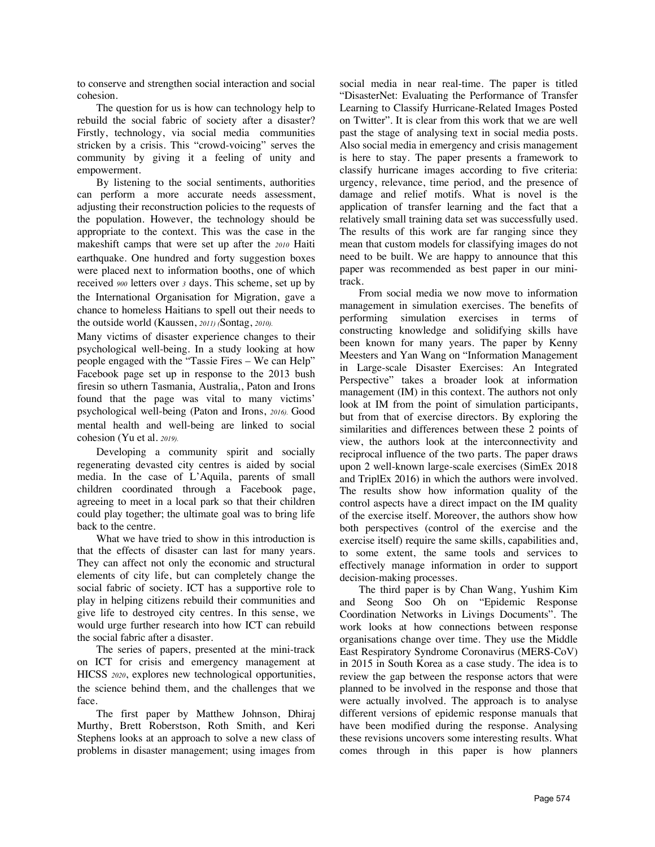to conserve and strengthen social interaction and social cohesion.

The question for us is how can technology help to rebuild the social fabric of society after a disaster? Firstly, technology, via social media communities stricken by a crisis. This "crowd-voicing" serves the community by giving it a feeling of unity and empowerment.

By listening to the social sentiments, authorities can perform a more accurate needs assessment, adjusting their reconstruction policies to the requests of the population. However, the technology should be appropriate to the context. This was the case in the makeshift camps that were set up after the *2010* Haiti earthquake. One hundred and forty suggestion boxes were placed next to information booths, one of which received *900* letters over *3* days. This scheme, set up by the International Organisation for Migration, gave a chance to homeless Haitians to spell out their needs to the outside world (Kaussen, *2011) (*Sontag, *2010).* 

Many victims of disaster experience changes to their psychological well-being. In a study looking at how people engaged with the "Tassie Fires – We can Help" Facebook page set up in response to the 2013 bush firesin so uthern Tasmania, Australia,, Paton and Irons found that the page was vital to many victims' psychological well-being (Paton and Irons, *2016).* Good mental health and well-being are linked to social cohesion (Yu et al. *2019).* 

Developing a community spirit and socially regenerating devasted city centres is aided by social media. In the case of L'Aquila, parents of small children coordinated through a Facebook page, agreeing to meet in a local park so that their children could play together; the ultimate goal was to bring life back to the centre.

What we have tried to show in this introduction is that the effects of disaster can last for many years. They can affect not only the economic and structural elements of city life, but can completely change the social fabric of society. ICT has a supportive role to play in helping citizens rebuild their communities and give life to destroyed city centres. In this sense, we would urge further research into how ICT can rebuild the social fabric after a disaster.

The series of papers, presented at the mini-track on ICT for crisis and emergency management at HICSS *2020*, explores new technological opportunities, the science behind them, and the challenges that we face.

The first paper by Matthew Johnson, Dhiraj Murthy, Brett Roberstson, Roth Smith, and Keri Stephens looks at an approach to solve a new class of problems in disaster management; using images from

social media in near real-time. The paper is titled "DisasterNet: Evaluating the Performance of Transfer Learning to Classify Hurricane-Related Images Posted on Twitter". It is clear from this work that we are well past the stage of analysing text in social media posts. Also social media in emergency and crisis management is here to stay. The paper presents a framework to classify hurricane images according to five criteria: urgency, relevance, time period, and the presence of damage and relief motifs. What is novel is the application of transfer learning and the fact that a relatively small training data set was successfully used. The results of this work are far ranging since they mean that custom models for classifying images do not need to be built. We are happy to announce that this paper was recommended as best paper in our minitrack.

From social media we now move to information management in simulation exercises. The benefits of performing simulation exercises in terms of constructing knowledge and solidifying skills have been known for many years. The paper by Kenny Meesters and Yan Wang on "Information Management in Large-scale Disaster Exercises: An Integrated Perspective" takes a broader look at information management (IM) in this context. The authors not only look at IM from the point of simulation participants, but from that of exercise directors. By exploring the similarities and differences between these 2 points of view, the authors look at the interconnectivity and reciprocal influence of the two parts. The paper draws upon 2 well-known large-scale exercises (SimEx 2018 and TriplEx 2016) in which the authors were involved. The results show how information quality of the control aspects have a direct impact on the IM quality of the exercise itself. Moreover, the authors show how both perspectives (control of the exercise and the exercise itself) require the same skills, capabilities and, to some extent, the same tools and services to effectively manage information in order to support decision-making processes.

The third paper is by Chan Wang, Yushim Kim and Seong Soo Oh on "Epidemic Response Coordination Networks in Livings Documents". The work looks at how connections between response organisations change over time. They use the Middle East Respiratory Syndrome Coronavirus (MERS-CoV) in 2015 in South Korea as a case study. The idea is to review the gap between the response actors that were planned to be involved in the response and those that were actually involved. The approach is to analyse different versions of epidemic response manuals that have been modified during the response. Analysing these revisions uncovers some interesting results. What comes through in this paper is how planners